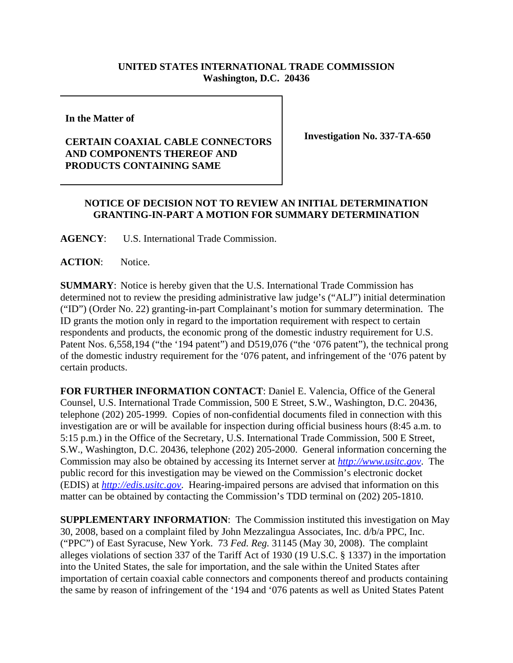## **UNITED STATES INTERNATIONAL TRADE COMMISSION Washington, D.C. 20436**

**In the Matter of** 

## **CERTAIN COAXIAL CABLE CONNECTORS AND COMPONENTS THEREOF AND PRODUCTS CONTAINING SAME**

**Investigation No. 337-TA-650**

## **NOTICE OF DECISION NOT TO REVIEW AN INITIAL DETERMINATION GRANTING-IN-PART A MOTION FOR SUMMARY DETERMINATION**

**AGENCY**: U.S. International Trade Commission.

ACTION: Notice.

**SUMMARY**: Notice is hereby given that the U.S. International Trade Commission has determined not to review the presiding administrative law judge's ("ALJ") initial determination ("ID") (Order No. 22) granting-in-part Complainant's motion for summary determination. The ID grants the motion only in regard to the importation requirement with respect to certain respondents and products, the economic prong of the domestic industry requirement for U.S. Patent Nos. 6,558,194 ("the '194 patent") and D519,076 ("the '076 patent"), the technical prong of the domestic industry requirement for the '076 patent, and infringement of the '076 patent by certain products.

**FOR FURTHER INFORMATION CONTACT**: Daniel E. Valencia, Office of the General Counsel, U.S. International Trade Commission, 500 E Street, S.W., Washington, D.C. 20436, telephone (202) 205-1999. Copies of non-confidential documents filed in connection with this investigation are or will be available for inspection during official business hours (8:45 a.m. to 5:15 p.m.) in the Office of the Secretary, U.S. International Trade Commission, 500 E Street, S.W., Washington, D.C. 20436, telephone (202) 205-2000. General information concerning the Commission may also be obtained by accessing its Internet server at *http://www.usitc.gov*. The public record for this investigation may be viewed on the Commission's electronic docket (EDIS) at *http://edis.usitc.gov*. Hearing-impaired persons are advised that information on this matter can be obtained by contacting the Commission's TDD terminal on (202) 205-1810.

**SUPPLEMENTARY INFORMATION**: The Commission instituted this investigation on May 30, 2008, based on a complaint filed by John Mezzalingua Associates, Inc. d/b/a PPC, Inc. ("PPC") of East Syracuse, New York. 73 *Fed. Reg.* 31145 (May 30, 2008). The complaint alleges violations of section 337 of the Tariff Act of 1930 (19 U.S.C. § 1337) in the importation into the United States, the sale for importation, and the sale within the United States after importation of certain coaxial cable connectors and components thereof and products containing the same by reason of infringement of the '194 and '076 patents as well as United States Patent